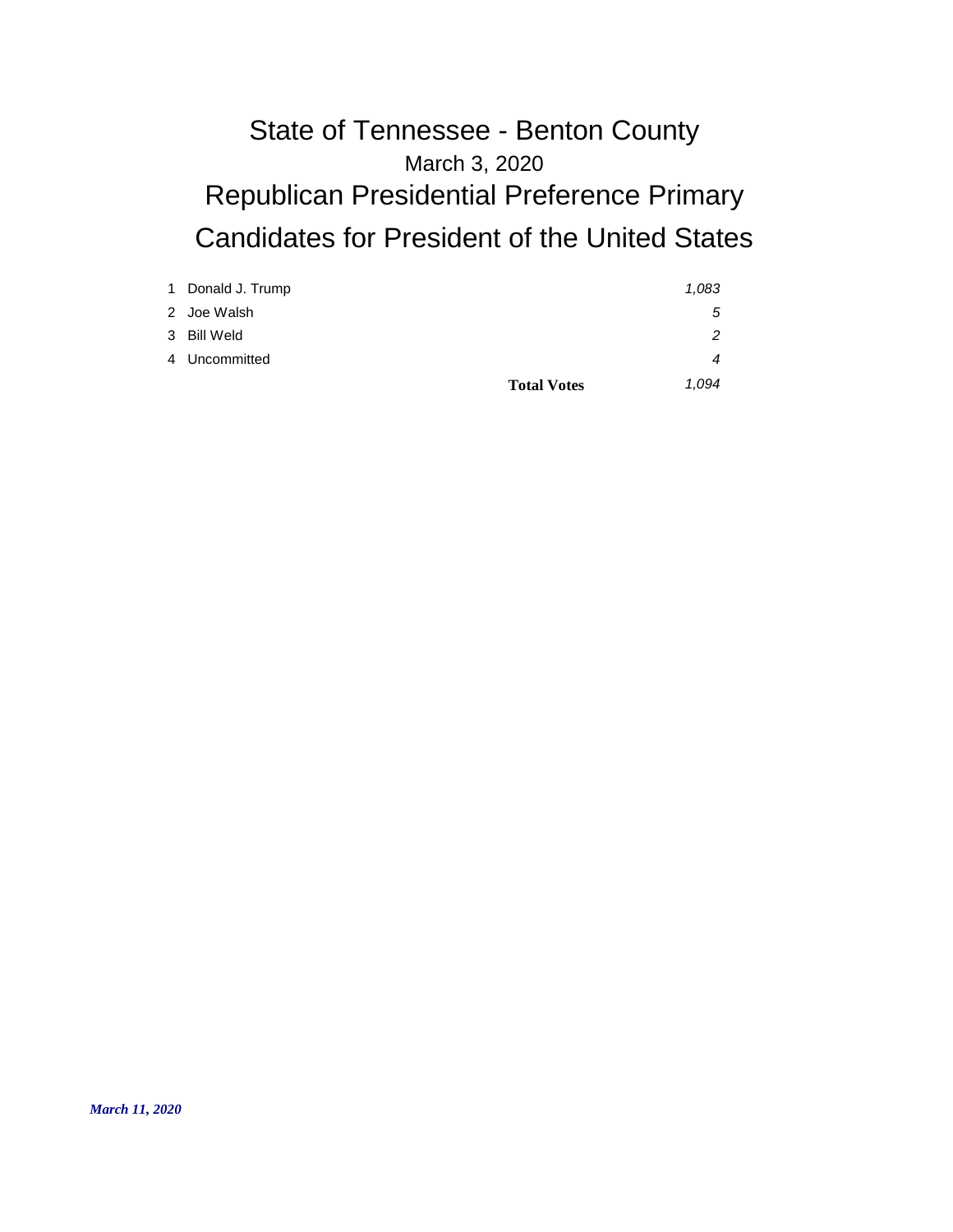# March 3, 2020 State of Tennessee - Benton County Republican Presidential Preference Primary Candidates for President of the United States

| 1 Donald J. Trump |                    | 1,083 |
|-------------------|--------------------|-------|
| 2 Joe Walsh       |                    | 5     |
| 3 Bill Weld       |                    | 2     |
| 4 Uncommitted     |                    | 4     |
|                   | <b>Total Votes</b> | 1.094 |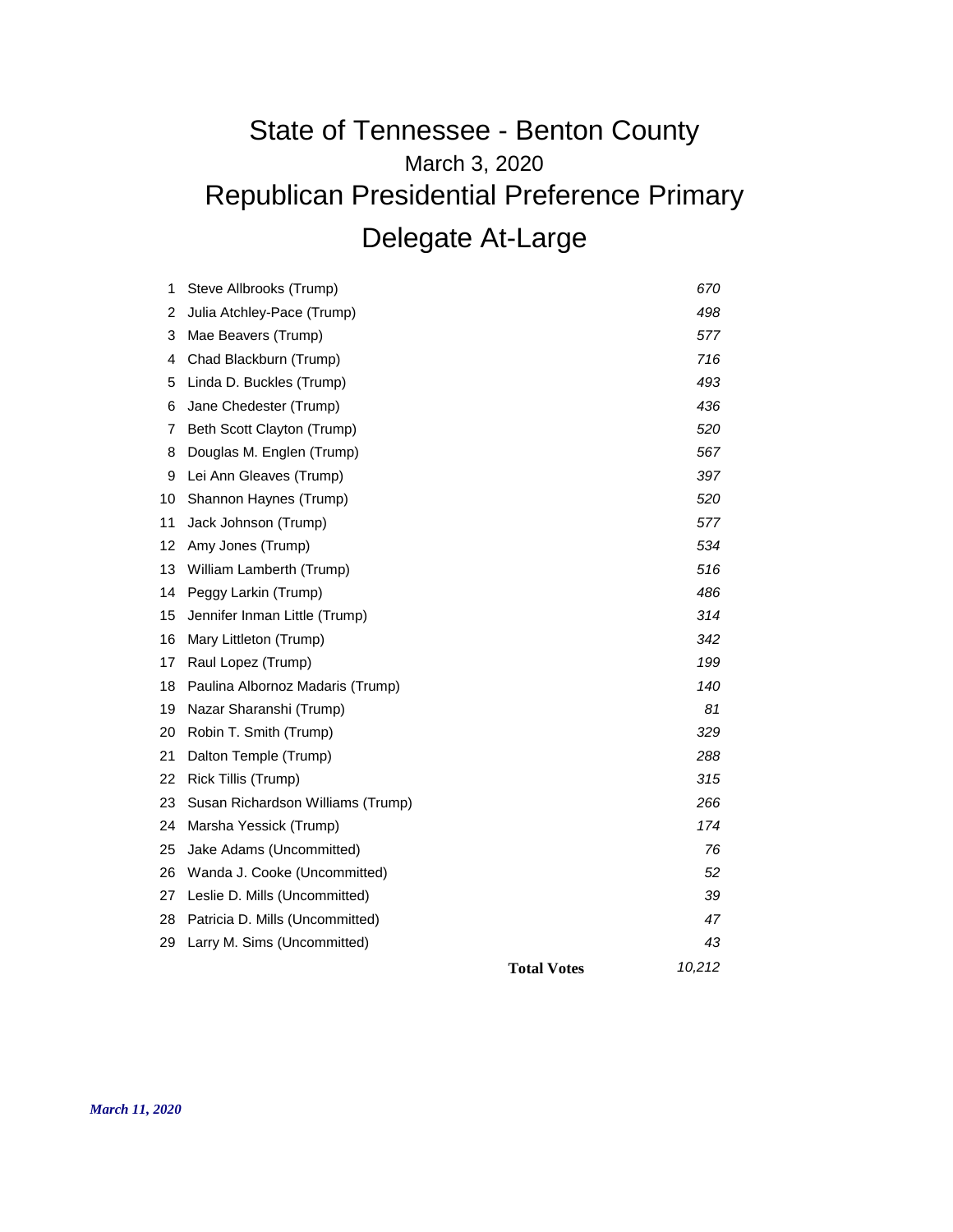## March 3, 2020 State of Tennessee - Benton County Republican Presidential Preference Primary Delegate At-Large

| 29     | Larry M. Sims (Uncommitted)       |     | 43  |
|--------|-----------------------------------|-----|-----|
| 28     | Patricia D. Mills (Uncommitted)   |     | 47  |
| 27     | Leslie D. Mills (Uncommitted)     |     | 39  |
| 26     | Wanda J. Cooke (Uncommitted)      |     | 52  |
| 25     | Jake Adams (Uncommitted)          |     | 76  |
| 24     | Marsha Yessick (Trump)            |     | 174 |
| 23     | Susan Richardson Williams (Trump) | 266 |     |
| 22     | Rick Tillis (Trump)               |     | 315 |
| 21     | Dalton Temple (Trump)             |     | 288 |
| 20     | Robin T. Smith (Trump)            |     | 329 |
| 19     | Nazar Sharanshi (Trump)           |     | 81  |
| 18     | Paulina Albornoz Madaris (Trump)  |     | 140 |
| 17     | Raul Lopez (Trump)                |     | 199 |
| 16     | Mary Littleton (Trump)            |     | 342 |
| 15     | Jennifer Inman Little (Trump)     |     | 314 |
| 14     | Peggy Larkin (Trump)              |     | 486 |
| 13     | William Lamberth (Trump)          |     | 516 |
| 12     | Amy Jones (Trump)                 |     | 534 |
| 11     | Jack Johnson (Trump)              |     | 577 |
| 10     | Shannon Haynes (Trump)            |     | 520 |
| 9      | Lei Ann Gleaves (Trump)           |     | 397 |
| 8      | Douglas M. Englen (Trump)         |     | 567 |
| 7      | Beth Scott Clayton (Trump)        |     | 520 |
| 6      | Jane Chedester (Trump)            |     | 436 |
| 5      | Linda D. Buckles (Trump)          |     | 493 |
| 4      | Chad Blackburn (Trump)            |     | 716 |
| 3      | Mae Beavers (Trump)               |     | 577 |
| 1<br>2 | Julia Atchley-Pace (Trump)        |     | 498 |
|        | Steve Allbrooks (Trump)           |     | 670 |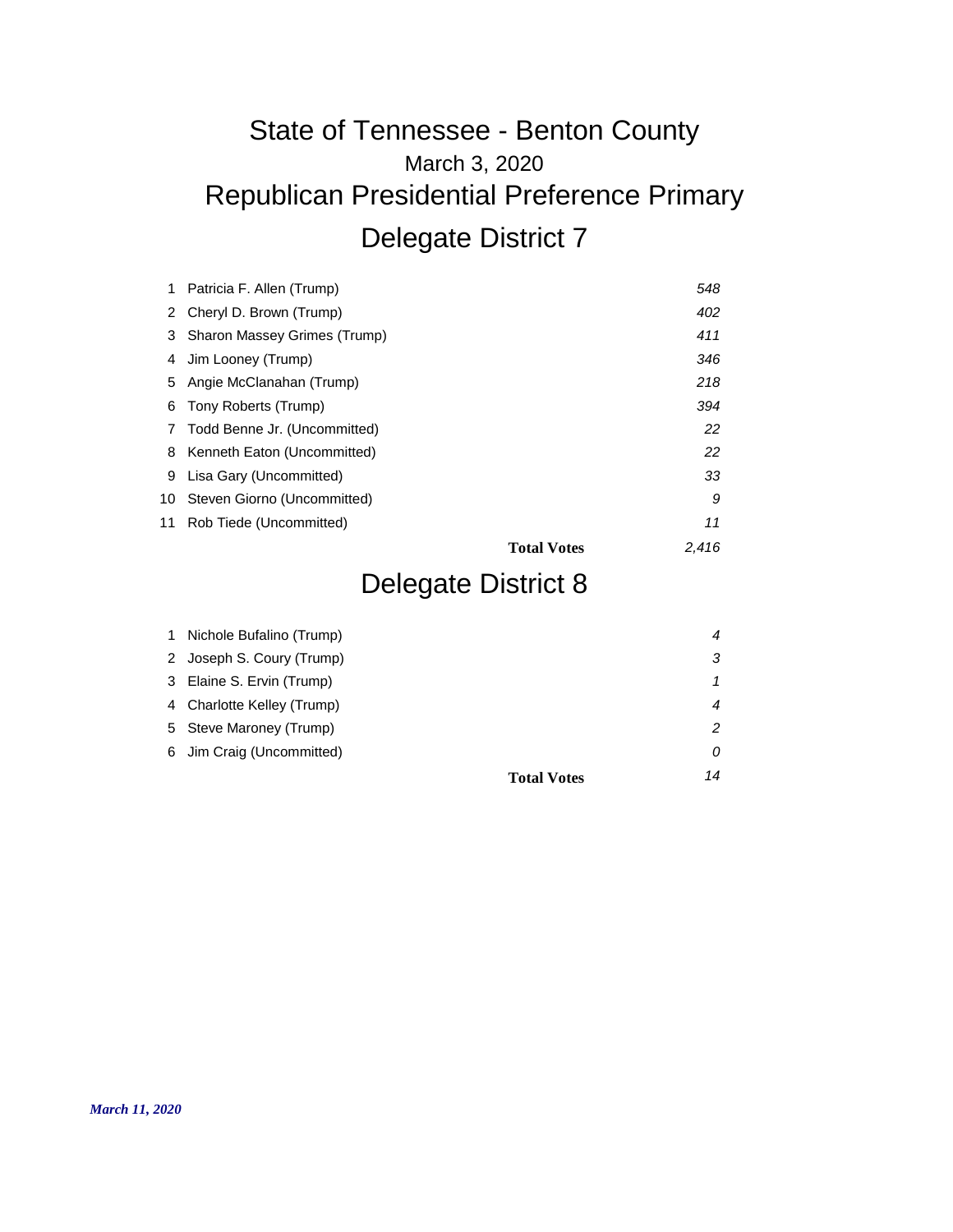# March 3, 2020 State of Tennessee - Benton County Republican Presidential Preference Primary Delegate District 7

|      | Patricia F. Allen (Trump)     |                    | 548   |
|------|-------------------------------|--------------------|-------|
| 2    | Cheryl D. Brown (Trump)       |                    | 402   |
| 3    | Sharon Massey Grimes (Trump)  |                    | 411   |
| 4    | Jim Looney (Trump)            |                    | 346   |
| 5    | Angie McClanahan (Trump)      |                    | 218   |
| 6    | Tony Roberts (Trump)          |                    | 394   |
| 7    | Todd Benne Jr. (Uncommitted)  |                    | 22    |
|      | 8 Kenneth Eaton (Uncommitted) |                    | 22    |
| 9    | Lisa Gary (Uncommitted)       |                    | 33    |
| 10 - | Steven Giorno (Uncommitted)   |                    | 9     |
| 11   | Rob Tiede (Uncommitted)       |                    | 11    |
|      |                               | <b>Total Votes</b> | 2.416 |

## Delegate District 8

| 1 | Nichole Bufalino (Trump)   |    |
|---|----------------------------|----|
|   | 2 Joseph S. Coury (Trump)  |    |
|   | 3 Elaine S. Ervin (Trump)  |    |
|   | 4 Charlotte Kelley (Trump) |    |
|   | 5 Steve Maroney (Trump)    |    |
|   | 6 Jim Craig (Uncommitted)  | 0  |
|   | <b>Total Votes</b>         | 14 |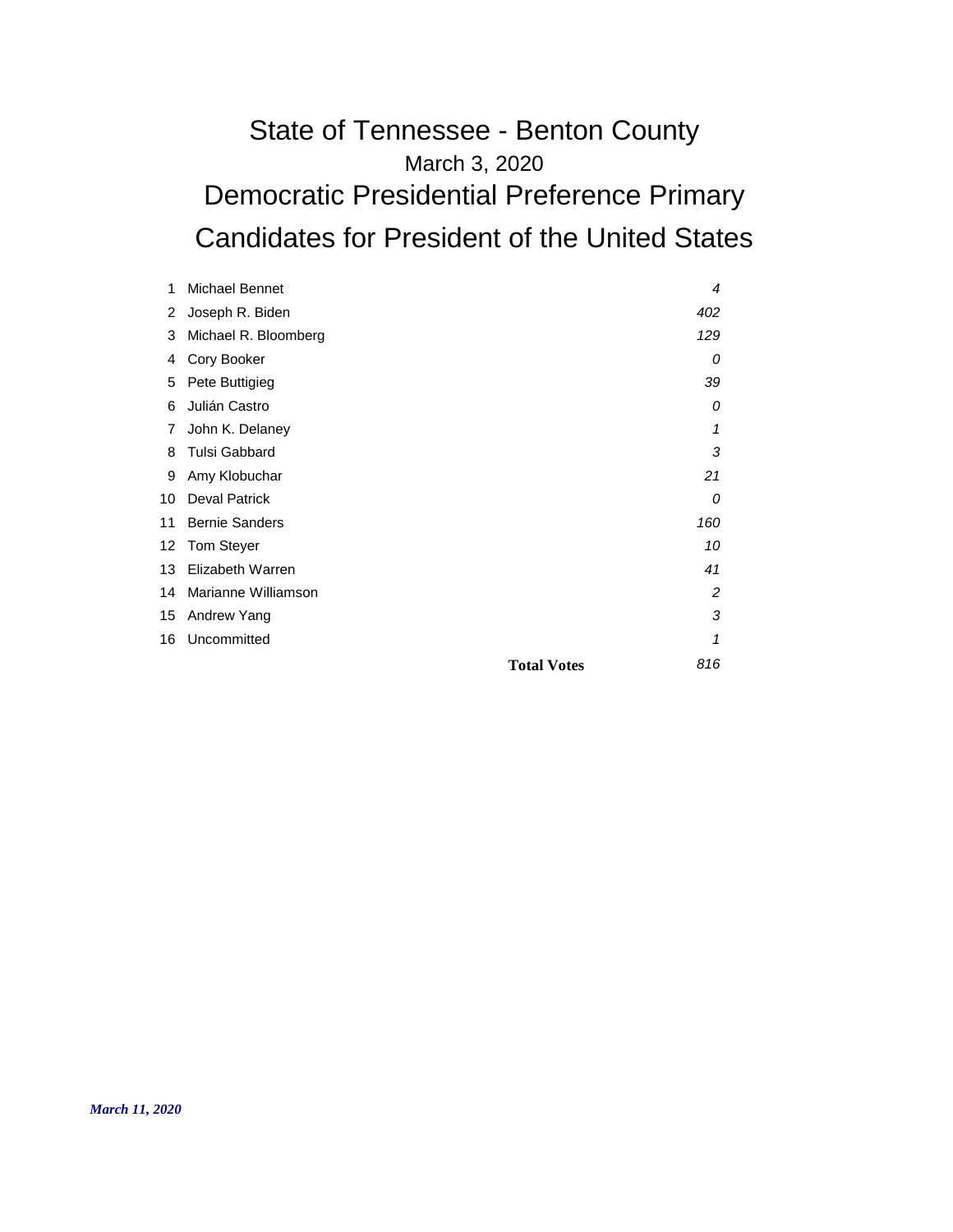#### March 3, 2020 State of Tennessee - Benton County Democratic Presidential Preference Primary Candidates for President of the United States

| 1  | Michael Bennet        | 4                         |
|----|-----------------------|---------------------------|
| 2  | Joseph R. Biden       | 402                       |
| 3  | Michael R. Bloomberg  | 129                       |
| 4  | Cory Booker           | 0                         |
| 5  | Pete Buttigieg        | 39                        |
| 6  | Julián Castro         | 0                         |
| 7  | John K. Delaney       | 1                         |
| 8  | <b>Tulsi Gabbard</b>  | 3                         |
| 9  | Amy Klobuchar         | 21                        |
| 10 | <b>Deval Patrick</b>  | 0                         |
| 11 | <b>Bernie Sanders</b> | 160                       |
| 12 | <b>Tom Steyer</b>     | 10                        |
| 13 | Elizabeth Warren      | 41                        |
| 14 | Marianne Williamson   | 2                         |
| 15 | Andrew Yang           | 3                         |
| 16 | Uncommitted           | 1                         |
|    |                       | 816<br><b>Total Votes</b> |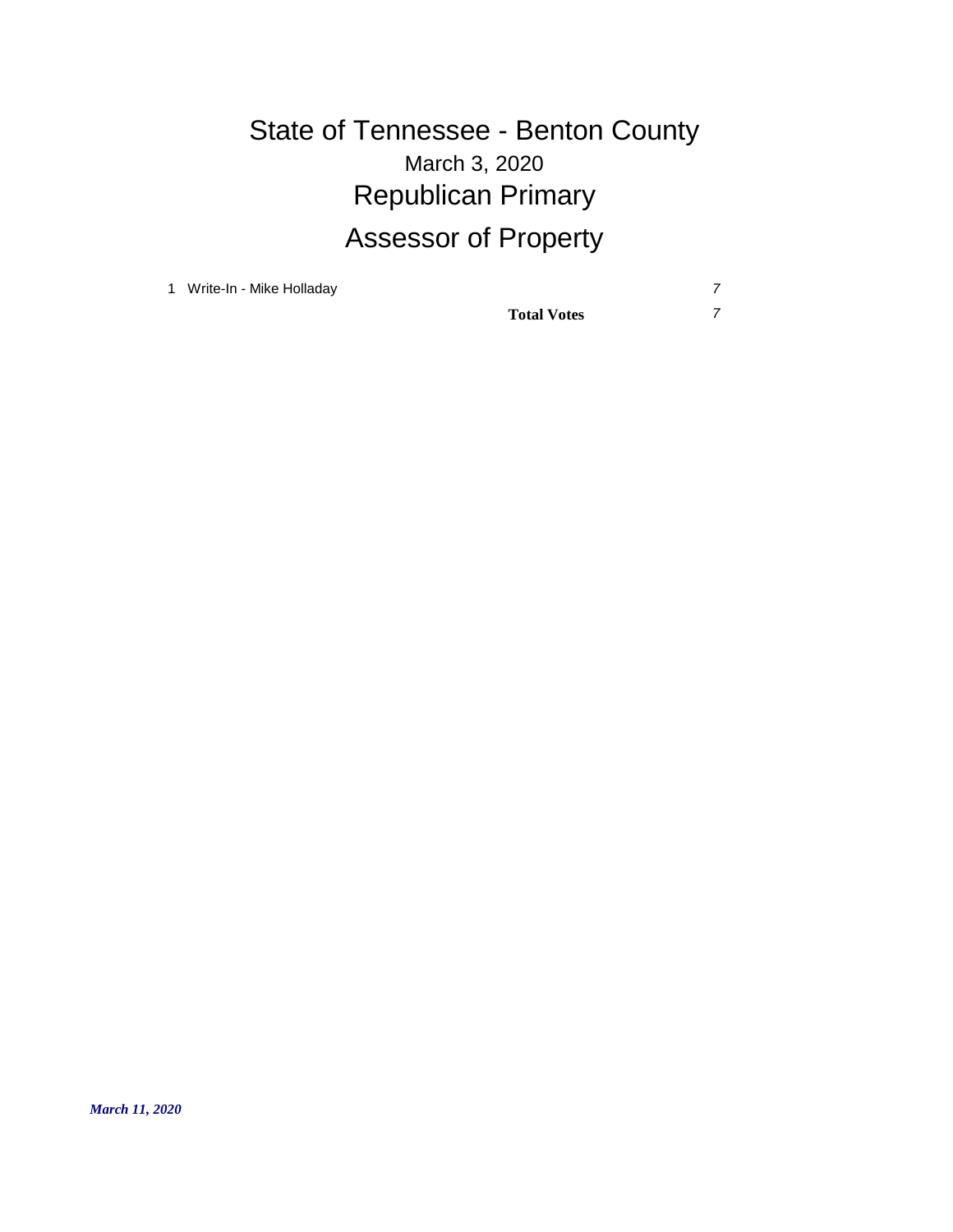# March 3, 2020 State of Tennessee - Benton County Republican Primary Assessor of Property

1 Write-In - Mike Holladay *7*

**Total Votes** *7*